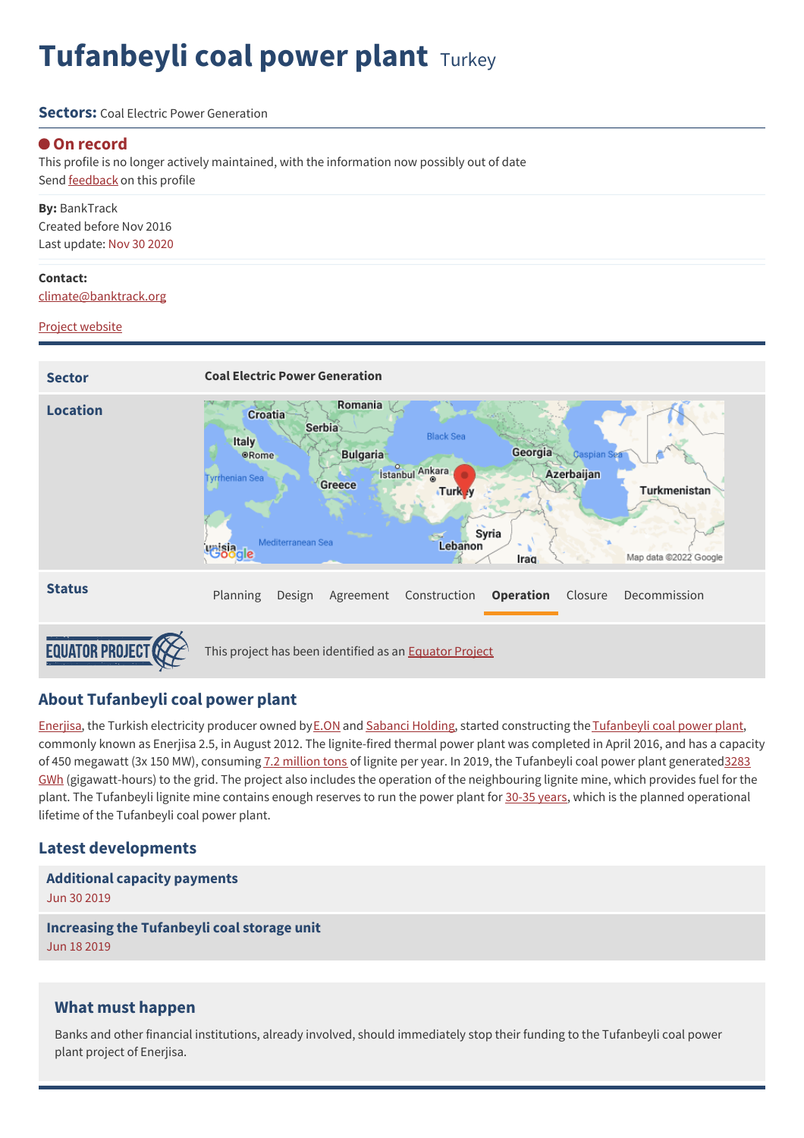# **Tufanbeyli coal power plant** Turkey

#### **Sectors:** Coal Flectric Power Generation

#### **On record**

This profile is no longer actively maintained, with the information now possibly out of date Send **[feedback](https://www.banktrack.org/feedback/dodgydeal/tufanbeyli_coal_power_plant)** on this profile

**By:** BankTrack Created before Nov 2016 Last update: Nov 30 2020

#### **Contact:**

[climate@banktrack.org](mailto:climate@banktrack.org)

#### Project website



## **About Tufanbeyli coal power plant**

[Enerjisa](https://www.reuters.com/companies/ENJSA.IS), the Turkish electricity producer owned by [E.ON](https://www.reuters.com/companies/EONGn.DE) and [Sabanci](https://en.wikipedia.org/wiki/Sabanc%25C4%25B1_Holding) Holding, started constructing the [Tufanbeyli](https://www.enerjisauretim.com.tr/en/our-operations/electricity-generation/tufanbeyli-lignite-power-plant-project) coal power plant, commonly known as Enerjisa 2.5, in August 2012. The lignite-fired thermal power plant was completed in April 2016, and has a capacity of 450 megawatt (3x 150 MW), consuming 7.2 [million](http://www.berksan.com/en/tufanbeyli-power-plant-450mw-coal-fired-t34) tons of lignite per year. In 2019, the Tufanbeyli coal power plant generated3283 GWh [\(gigawatt-hours\)](https://en.wikipedia.org/wiki/List_of_active_coal-fired_power_stations_in_Turkey) to the grid. The project also includes the operation of the neighbouring lignite mine, which provides fuel for the plant. The Tufanbeyli lignite mine contains enough reserves to run the power plant for [30-35](https://www.enerjisauretim.com.tr/en/our-operations/electricity-generation/tufanbeyli-lignite-power-plant-project) years, which is the planned operational lifetime of the Tufanbeyli coal power plant.

### **Latest developments**

**[Additional](javascript:void(0)) capacity payments** Jun 30 2019 **Increasing the [Tufanbeyli](javascript:void(0)) coal storage unit** Jun 18 2019

## **What must happen**

Banks and other financial institutions, already involved, should immediately stop their funding to the Tufanbeyli coal power plant project of Enerjisa.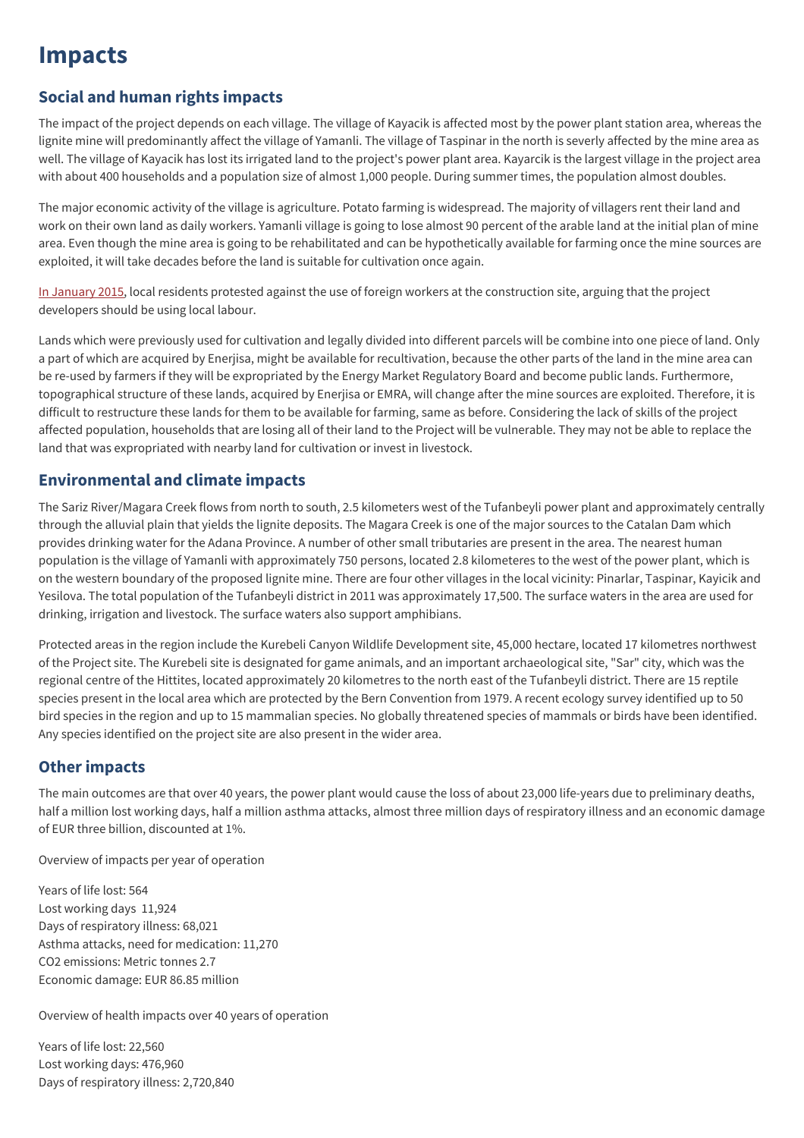## **Impacts**

## **Social and human rights impacts**

The impact of the project depends on each village. The village of Kayacik is affected most by the power plant station area, whereas the lignite mine will predominantly affect the village of Yamanli. The village of Taspinar in the north is severly affected by the mine area as well. The village of Kayacik has lost its irrigated land to the project's power plant area. Kayarcik is the largest village in the project area with about 400 households and a population size of almost 1,000 people. During summer times, the population almost doubles.

The major economic activity of the village is agriculture. Potato farming is widespread. The majority of villagers rent their land and work on their own land as daily workers. Yamanli village is going to lose almost 90 percent of the arable land at the initial plan of mine area. Even though the mine area is going to be rehabilitated and can be hypothetically available for farming once the mine sources are exploited, it will take decades before the land is suitable for cultivation once again.

In [January](http://www.haberler.com/tufanbeyli-termik-santrali-insaatindaki-iscilerin-6921566-haberi/) 2015, local residents protested against the use of foreign workers at the construction site, arguing that the project developers should be using local labour.

Lands which were previously used for cultivation and legally divided into different parcels will be combine into one piece of land. Only a part of which are acquired by Enerjisa, might be available for recultivation, because the other parts of the land in the mine area can be re-used by farmers if they will be expropriated by the Energy Market Regulatory Board and become public lands. Furthermore, topographical structure of these lands, acquired by Enerjisa or EMRA, will change after the mine sources are exploited. Therefore, it is difficult to restructure these lands for them to be available for farming, same as before. Considering the lack of skills of the project affected population, households that are losing all of their land to the Project will be vulnerable. They may not be able to replace the land that was expropriated with nearby land for cultivation or invest in livestock.

## **Environmental and climate impacts**

The Sariz River/Magara Creek flows from north to south, 2.5 kilometers west of the Tufanbeyli power plant and approximately centrally through the alluvial plain that yields the lignite deposits. The Magara Creek is one of the major sources to the Catalan Dam which provides drinking water for the Adana Province. A number of other small tributaries are present in the area. The nearest human population is the village of Yamanli with approximately 750 persons, located 2.8 kilometeres to the west of the power plant, which is on the western boundary of the proposed lignite mine. There are four other villages in the local vicinity: Pinarlar, Taspinar, Kayicik and Yesilova. The total population of the Tufanbeyli district in 2011 was approximately 17,500. The surface waters in the area are used for drinking, irrigation and livestock. The surface waters also support amphibians.

Protected areas in the region include the Kurebeli Canyon Wildlife Development site, 45,000 hectare, located 17 kilometres northwest of the Project site. The Kurebeli site is designated for game animals, and an important archaeological site, "Sar" city, which was the regional centre of the Hittites, located approximately 20 kilometres to the north east of the Tufanbeyli district. There are 15 reptile species present in the local area which are protected by the Bern Convention from 1979. A recent ecology survey identified up to 50 bird species in the region and up to 15 mammalian species. No globally threatened species of mammals or birds have been identified. Any species identified on the project site are also present in the wider area.

## **Other impacts**

The main outcomes are that over 40 years, the power plant would cause the loss of about 23,000 life-years due to preliminary deaths, half a million lost working days, half a million asthma attacks, almost three million days of respiratory illness and an economic damage of EUR three billion, discounted at 1%.

Overview of impacts per year of operation

Years of life lost: 564 Lost working days 11,924 Days of respiratory illness: 68,021 Asthma attacks, need for medication: 11,270 CO2 emissions: Metric tonnes 2.7 Economic damage: EUR 86.85 million

Overview of health impacts over 40 years of operation

Years of life lost: 22,560 Lost working days: 476,960 Days of respiratory illness: 2,720,840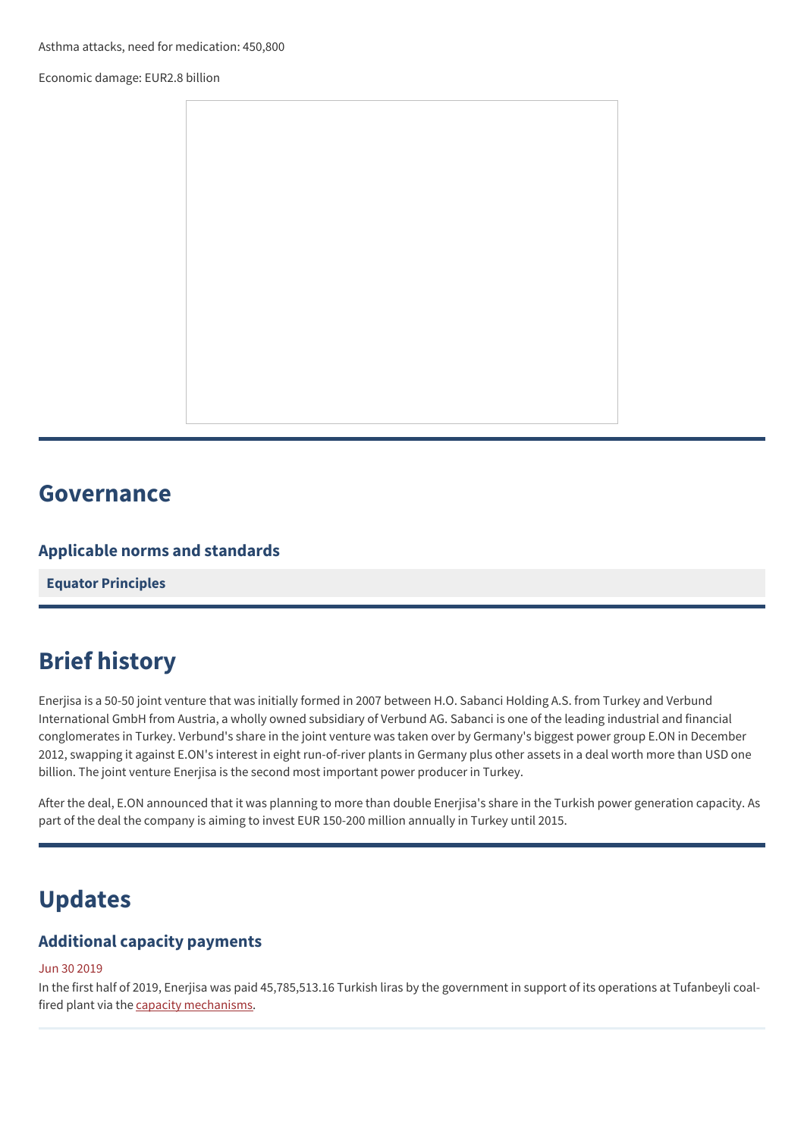Economic damage: EUR2.8 billion



## **Governance**

## **Applicable norms and standards**

**Equator [Principles](http://www.equator-principles.com)**

## **Brief history**

Enerjisa is a 50-50 joint venture that was initially formed in 2007 between H.O. Sabanci Holding A.S. from Turkey and Verbund International GmbH from Austria, a wholly owned subsidiary of Verbund AG. Sabanci is one of the leading industrial and financial conglomerates in Turkey. Verbund's share in the joint venture was taken over by Germany's biggest power group E.ON in December 2012, swapping it against E.ON's interest in eight run-of-river plants in Germany plus other assets in a deal worth more than USD one billion. The joint venture Enerjisa is the second most important power producer in Turkey.

After the deal, E.ON announced that it was planning to more than double Enerjisa's share in the Turkish power generation capacity. As part of the deal the company is aiming to invest EUR 150-200 million annually in Turkey until 2015.

## **Updates**

## **Additional capacity payments**

#### Jun 30 2019

In the first half of 2019, Enerjisa was paid 45,785,513.16 Turkish liras by the government in support of its operations at Tufanbeyli coalfired plant via the capacity [mechanisms.](https://www.sourcewatch.org/index.php/Turkey_and_coal#Subsidies)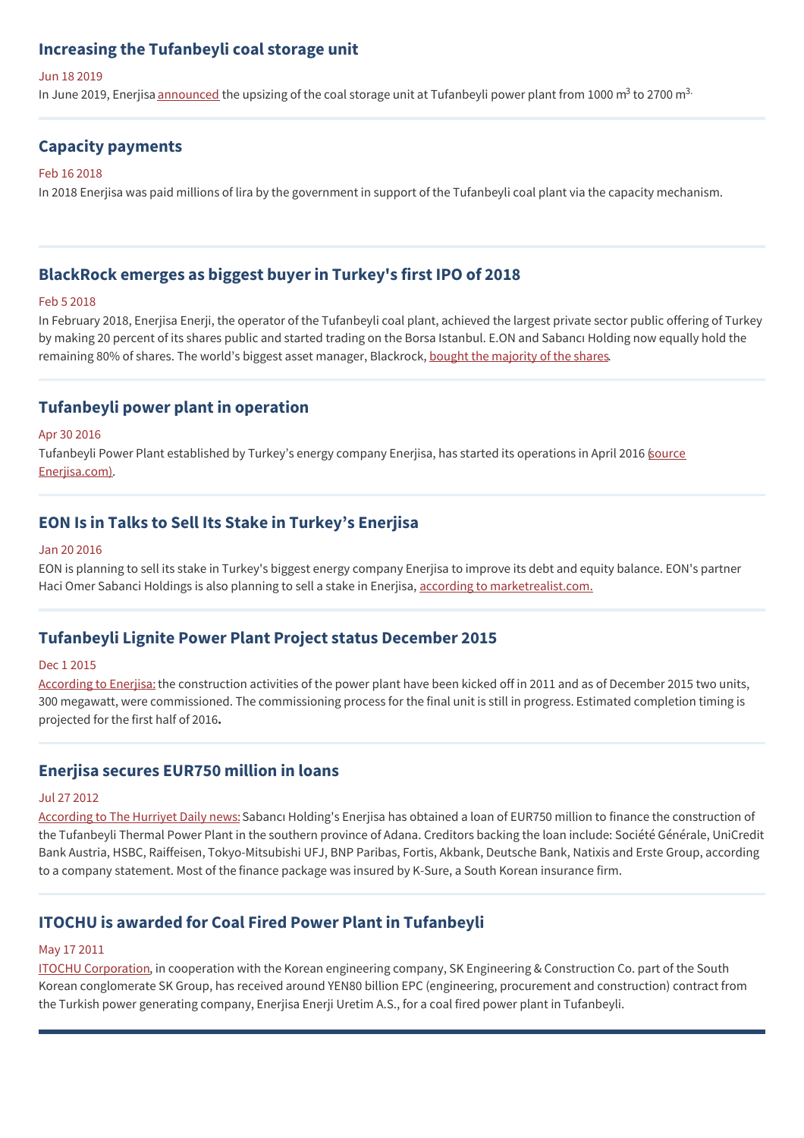## **Increasing the Tufanbeyli coal storage unit**

Jun 18 2019

In June 2019, Enerjisa <u>[announced](https://www.enerjigunlugu.net/enerjisa-tufanbeyli-termikte-depolama-kapasitesini-arttiracak-32865h.htm)</u> the upsizing of the coal storage unit at Tufanbeyli power plant from 1000 m<sup>3</sup> to 2700 m<sup>3.</sup>

## **Capacity payments**

#### Feb 16 2018

In 2018 Enerjisa was paid millions of lira by the government in support of the Tufanbeyli coal plant via the capacity mechanism.

## **BlackRock emerges as biggest buyer in Turkey's first IPO of 2018**

#### Feb 5 2018

In February 2018, Enerjisa Enerji, the operator of the Tufanbeyli coal plant, achieved the largest private sector public offering of Turkey by making 20 percent of its shares public and started trading on the Borsa Istanbul. E.ON and Sabancı Holding now equally hold the remaining 80% of shares. The world's biggest asset manager, Blackrock, bought the [majority](https://www.bloomberg.com/news/articles/2018-02-05/blackrock-emerges-as-biggest-buyer-in-turkey-s-first-ipo-of-2018) of the shares.

### **Tufanbeyli power plant in operation**

#### Apr 30 2016

Tufanbeyli Power Plant established by Turkey's energy company Enerjisa, has started its operations in April 2016 (source Enerijsa.com).

### **EON Is in Talks to Sell Its Stake in Turkey's Enerjisa**

#### Jan 20 2016

EON is planning to sell its stake in Turkey's biggest energy company Enerjisa to improve its debt and equity balance. EON's partner Haci Omer Sabanci Holdings is also planning to sell a stake in Enerjisa, according to [marketrealist.com.](https://marketrealist.com/2016/01/eon-talks-sell-stake-turkeys-enerjisa/)

#### **Tufanbeyli Lignite Power Plant Project status December 2015**

#### Dec 1 2015

[According](https://www.enerjisa.com.tr/en/about-enerjisa/our-operations/generation/our-projects) to Enerjisa: the construction activities of the power plant have been kicked off in 2011 and as of December 2015 two units, 300 megawatt, were commissioned. The commissioning process for the final unit is still in progress. Estimated completion timing is projected for the first half of 2016**.**

#### **Enerjisa secures EUR750 million in loans**

#### Jul 27 2012

[According](http://www.hurriyetdailynews.com/enerjisa-secures-750-million-euro-in-loans.aspx?pageID=238&nID=26454&NewsCatID=344) to The Hurriyet Daily news: Sabancı Holding's Enerjisa has obtained a loan of EUR750 million to finance the construction of the Tufanbeyli Thermal Power Plant in the southern province of Adana. Creditors backing the loan include: Société Générale, UniCredit Bank Austria, HSBC, Raiffeisen, Tokyo-Mitsubishi UFJ, BNP Paribas, Fortis, Akbank, Deutsche Bank, Natixis and Erste Group, according to a company statement. Most of the finance package was insured by K-Sure, a South Korean insurance firm.

### **ITOCHU is awarded for Coal Fired Power Plant in Tufanbeyli**

#### May 17 2011

ITOCHU [Corporation](http://www.itochu.co.jp/en/news/2011/110517.html), in cooperation with the Korean engineering company, SK Engineering & Construction Co. part of the South Korean conglomerate SK Group, has received around YEN80 billion EPC (engineering, procurement and construction) contract from the Turkish power generating company, Enerjisa Enerji Uretim A.S., for a coal fired power plant in Tufanbeyli.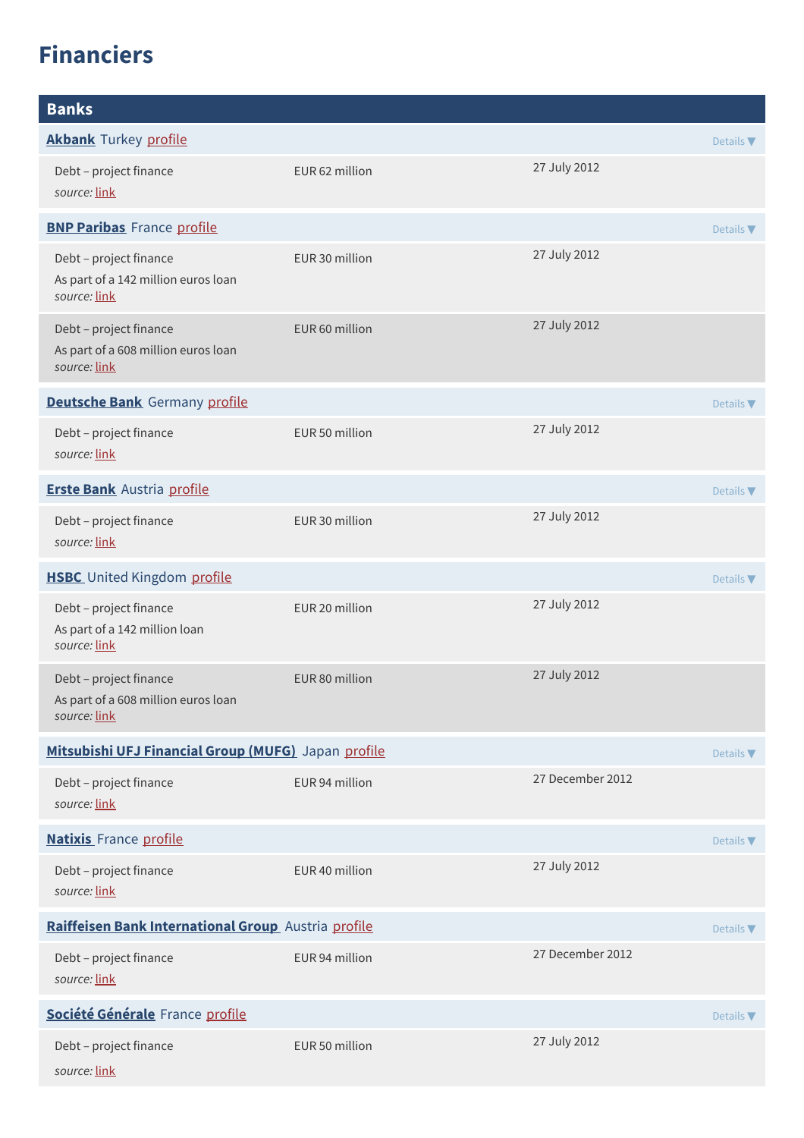## **Financiers**

| <b>Banks</b>                                                                        |                |                  |                  |  |
|-------------------------------------------------------------------------------------|----------------|------------------|------------------|--|
| <b>Akbank Turkey profile</b>                                                        |                |                  | Details <b>V</b> |  |
| Debt - project finance<br>source: link                                              | EUR 62 million | 27 July 2012     |                  |  |
| <b>BNP Paribas</b> France profile                                                   |                |                  |                  |  |
| Debt - project finance<br>As part of a 142 million euros loan<br>source: link       | EUR 30 million | 27 July 2012     |                  |  |
| Debt - project finance<br>As part of a 608 million euros loan<br>source: link       | EUR 60 million | 27 July 2012     |                  |  |
| <b>Deutsche Bank</b> Germany profile                                                |                |                  | Details $\nabla$ |  |
| Debt - project finance<br>source: link                                              | EUR 50 million | 27 July 2012     |                  |  |
| <b>Erste Bank</b> Austria profile                                                   |                |                  | Details <b>V</b> |  |
| Debt - project finance<br>source: link                                              | EUR 30 million | 27 July 2012     |                  |  |
| <b>HSBC</b> United Kingdom profile                                                  |                |                  | Details <b>V</b> |  |
| Debt - project finance<br>As part of a 142 million loan<br>source: link             | EUR 20 million | 27 July 2012     |                  |  |
| Debt - project finance<br>As part of a 608 million euros loan<br>source: link       | EUR 80 million | 27 July 2012     |                  |  |
| Mitsubishi UFJ Financial Group (MUFG) Japan profile<br>Details $\blacktriangledown$ |                |                  |                  |  |
| Debt - project finance<br>source: link                                              | EUR 94 million | 27 December 2012 |                  |  |
| <b>Natixis</b> France profile                                                       |                |                  | Details $\nabla$ |  |
| Debt - project finance<br>source: link                                              | EUR 40 million | 27 July 2012     |                  |  |
| Raiffeisen Bank International Group Austria profile                                 |                |                  |                  |  |
| Debt - project finance<br>source: link                                              | EUR 94 million | 27 December 2012 |                  |  |
| Société Générale France profile                                                     |                |                  |                  |  |
| Debt - project finance<br>source: link                                              | EUR 50 million | 27 July 2012     |                  |  |